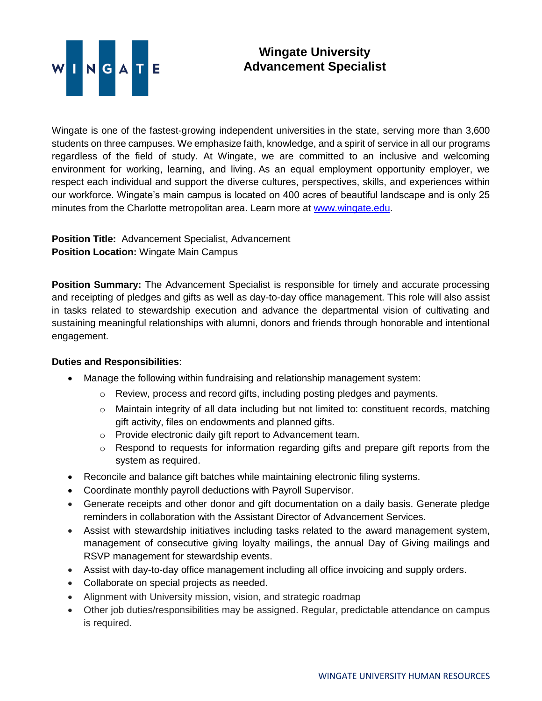

## **Wingate University Advancement Specialist**

Wingate is one of the fastest-growing independent universities in the state, serving more than 3,600 students on three campuses. We emphasize faith, knowledge, and a spirit of service in all our programs regardless of the field of study. At Wingate, we are committed to an inclusive and welcoming environment for working, learning, and living. As an equal employment opportunity employer, we respect each individual and support the diverse cultures, perspectives, skills, and experiences within our workforce. Wingate's main campus is located on 400 acres of beautiful landscape and is only 25 minutes from the Charlotte metropolitan area. Learn more at [www.wingate.edu.](http://www.wingate/edu)

**Position Title:** Advancement Specialist, Advancement **Position Location:** Wingate Main Campus

**Position Summary:** The Advancement Specialist is responsible for timely and accurate processing and receipting of pledges and gifts as well as day-to-day office management. This role will also assist in tasks related to stewardship execution and advance the departmental vision of cultivating and sustaining meaningful relationships with alumni, donors and friends through honorable and intentional engagement.

## **Duties and Responsibilities**:

- Manage the following within fundraising and relationship management system:
	- o Review, process and record gifts, including posting pledges and payments.
	- o Maintain integrity of all data including but not limited to: constituent records, matching gift activity, files on endowments and planned gifts.
	- o Provide electronic daily gift report to Advancement team.
	- o Respond to requests for information regarding gifts and prepare gift reports from the system as required.
- Reconcile and balance gift batches while maintaining electronic filing systems.
- Coordinate monthly payroll deductions with Payroll Supervisor.
- Generate receipts and other donor and gift documentation on a daily basis. Generate pledge reminders in collaboration with the Assistant Director of Advancement Services.
- Assist with stewardship initiatives including tasks related to the award management system, management of consecutive giving loyalty mailings, the annual Day of Giving mailings and RSVP management for stewardship events.
- Assist with day-to-day office management including all office invoicing and supply orders.
- Collaborate on special projects as needed.
- Alignment with University mission, vision, and strategic roadmap
- Other job duties/responsibilities may be assigned. Regular, predictable attendance on campus is required.